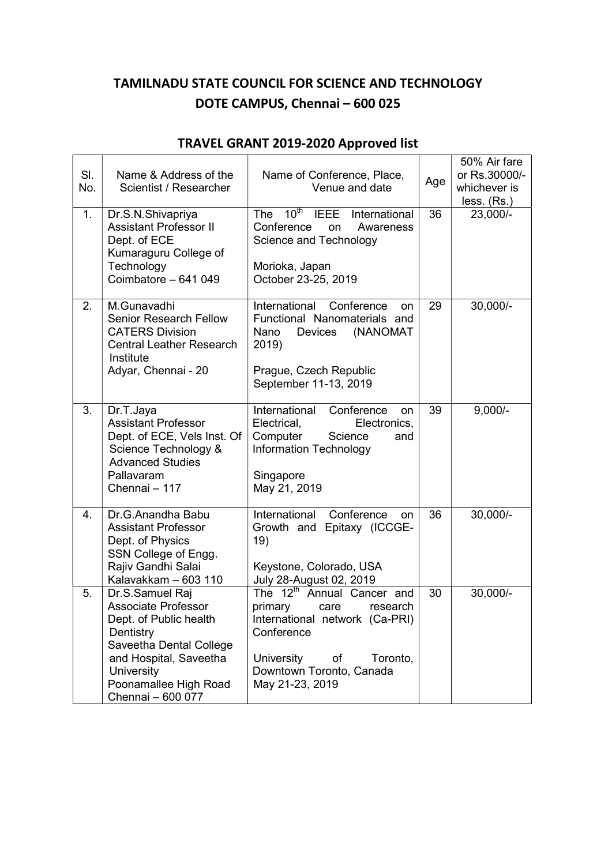## TAMILNADU STATE COUNCIL FOR SCIENCE AND TECHNOLOGY DOTE CAMPUS, Chennai – 600 025

| SI.<br>No.<br>1. | Name & Address of the<br>Scientist / Researcher<br>Dr.S.N.Shivapriya<br><b>Assistant Professor II</b><br>Dept. of ECE<br>Kumaraguru College of<br>Technology<br>Coimbatore - 641 049                  | Name of Conference, Place,<br>Venue and date<br>$10th$ IEEE<br><b>The</b><br>International<br>Conference<br>Awareness<br>on<br>Science and Technology<br>Morioka, Japan<br>October 23-25, 2019       | Age<br>36 | 50% Air fare<br>or Rs.30000/-<br>whichever is<br>less. (Rs.)<br>23,000/- |
|------------------|-------------------------------------------------------------------------------------------------------------------------------------------------------------------------------------------------------|------------------------------------------------------------------------------------------------------------------------------------------------------------------------------------------------------|-----------|--------------------------------------------------------------------------|
| 2.               | M.Gunavadhi<br><b>Senior Research Fellow</b><br><b>CATERS Division</b><br><b>Central Leather Research</b><br>Institute<br>Adyar, Chennai - 20                                                         | International<br>Conference<br>on<br>Functional Nanomaterials and<br>Nano<br>(NANOMAT<br>Devices<br>2019)<br>Prague, Czech Republic<br>September 11-13, 2019                                         | 29        | $30,000/-$                                                               |
| 3.               | Dr.T.Jaya<br><b>Assistant Professor</b><br>Dept. of ECE, Vels Inst. Of<br>Science Technology &<br><b>Advanced Studies</b><br>Pallavaram<br>Chennai - 117                                              | International<br>Conference<br><b>on</b><br>Electrical,<br>Electronics,<br>Computer<br>Science<br>and<br>Information Technology<br>Singapore<br>May 21, 2019                                         | 39        | $9,000/-$                                                                |
| 4.               | Dr.G.Anandha Babu<br><b>Assistant Professor</b><br>Dept. of Physics<br>SSN College of Engg.<br>Rajiv Gandhi Salai<br>Kalavakkam - 603 110                                                             | International<br>Conference<br>on<br>Growth and Epitaxy (ICCGE-<br>19)<br>Keystone, Colorado, USA<br>July 28-August 02, 2019                                                                         | 36        | $30,000/-$                                                               |
| 5.               | Dr.S.Samuel Raj<br><b>Associate Professor</b><br>Dept. of Public health<br>Dentistry<br>Saveetha Dental College<br>and Hospital, Saveetha<br>University<br>Poonamallee High Road<br>Chennai - 600 077 | The 12 <sup>th</sup> Annual Cancer and<br>primary<br>care<br>research<br>International network (Ca-PRI)<br>Conference<br>University<br>of<br>Toronto,<br>Downtown Toronto, Canada<br>May 21-23, 2019 | 30        | $30,000/-$                                                               |

## TRAVEL GRANT 2019-2020 Approved list